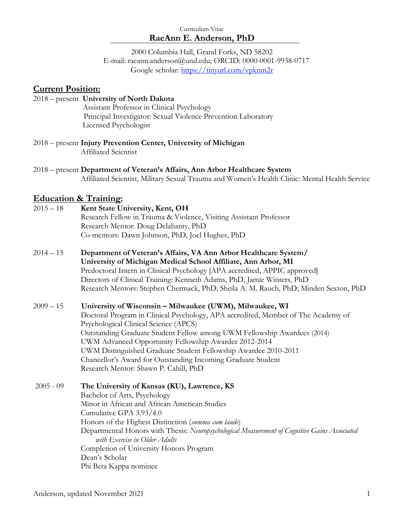2000 Columbia Hall, Grand Forks, ND 58202 E-mail: raeann.anderson@und.edu; ORCID: 0000-0001-9938-0717 Google scholar:<https://tinyurl.com/vpknm2r>

### **Current Position:**

### 2018 – present **University of North Dakota**

Assistant Professor in Clinical Psychology Principal Investigator: Sexual Violence Prevention Laboratory Licensed Psychologist

2018 – present **Injury Prevention Center, University of Michigan**  Affiliated Scientist

2018 – present **Department of Veteran's Affairs, Ann Arbor Healthcare System**  Affiliated Scientist, Military Sexual Trauma and Women's Health Clinic: Mental Health Service

### **Education & Training:**

- 2015 18 **Kent State University, Kent, OH** Research Fellow in Trauma & Violence, Visiting Assistant Professor Research Mentor: Doug Delahanty, PhD Co-mentors: Dawn Johnson, PhD, Joel Hughes, PhD
- 2014 15 **Department of Veteran's Affairs, VA Ann Arbor Healthcare System/ University of Michigan Medical School Affiliate, Ann Arbor, MI** Predoctoral Intern in Clinical Psychology [APA accredited, APPIC approved] Directors of Clinical Training: Kenneth Adams, PhD, Jamie Winters, PhD Research Mentors: Stephen Chermack, PhD; Sheila A. M. Rauch, PhD; Minden Sexton, PhD

### 2009 – 15 **University of Wisconsin – Milwaukee (UWM), Milwaukee, WI**

Doctoral Program in Clinical Psychology, APA accredited, Member of The Academy of Psychological Clinical Science (APCS) Outstanding Graduate Student Fellow among UWM Fellowship Awardees (2014) UWM Advanced Opportunity Fellowship Awardee 2012-2014 UWM Distinguished Graduate Student Fellowship Awardee 2010-2011 Chancellor's Award for Outstanding Incoming Graduate Student Research Mentor: Shawn P. Cahill, PhD

#### 2005 - 09 **The University of Kansas (KU), Lawrence, KS**

Bachelor of Arts, Psychology

Minor in African and African American Studies

Cumulative GPA 3.93/4.0

Honors of the Highest Distinction (*summa cum laude*) Departmental Honors with Thesis: *Neuropsychological Measurement of Cognitive Gains Associated with Exercise in Older Adults*

Completion of University Honors Program

Dean's Scholar Phi Beta Kappa nominee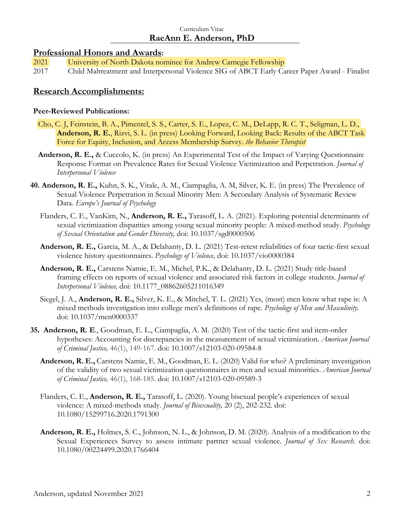### **Professional Honors and Awards:**

- 2021 University of North Dakota nominee for Andrew Carnegie Fellowship
- 2017 Child Maltreatment and Interpersonal Violence SIG of ABCT Early Career Paper Award Finalist

### **Research Accomplishments:**

#### **Peer-Reviewed Publications:**

- Cho, C. J, Feinstein, B. A., Pimentel, S. S., Carter, S. E., Lopez, C. M., DeLapp, R. C. T., Seligman, L. D., **Anderson, R. E.**, Rizvi, S. L. (in press) Looking Forward, Looking Back: Results of the ABCT Task Force for Equity, Inclusion, and Access Membership Survey. *the Behavior Therapist*
- **Anderson, R. E.,** & Cuccolo, K. (in press) An Experimental Test of the Impact of Varying Questionnaire Response Format on Prevalence Rates for Sexual Violence Victimization and Perpetration. *Journal of Interpersonal Violence*
- **40. Anderson, R. E.,** Kuhn, S. K., Vitale, A. M., Ciampaglia, A. M, Silver, K. E. (in press) The Prevalence of Sexual Violence Perpetration in Sexual Minority Men: A Secondary Analysis of Systematic Review Data. *Europe's Journal of Psychology*
	- Flanders, C. E., VanKim, N., **Anderson, R. E.,** Tarasoff, L. A. (2021). Exploring potential determinants of sexual victimization disparities among young sexual minority people: A mixed-method study. *Psychology of Sexual Orientation and Gender Diversity,* doi: 10.1037/sgd0000506
	- **Anderson, R. E.,** Garcia, M. A., & Delahanty, D. L. (2021) Test-retest reliabilities of four tactic-first sexual violence history questionnaires. *Psychology of Violence,* doi: 10.1037/vio0000384
	- **Anderson, R. E.,** Carstens Namie, E. M., Michel, P.K., & Delahanty, D. L. (2021) Study title-based framing effects on reports of sexual violence and associated risk factors in college students. *Journal of Interpersonal Violence,* doi: 10.1177\_08862605211016349
	- Siegel, J. A., **Anderson, R. E.,** Silver, K. E., & Mitchel, T. L. (2021) Yes, (most) men know what rape is: A mixed methods investigation into college men's definitions of rape. *Psychology of Men and Masculinity.* doi: 10.1037/men0000337
- **35. Anderson, R. E**., Goodman, E. L., Ciampaglia, A. M. (2020) Test of the tactic-first and item-order hypotheses: Accounting for discrepancies in the measurement of sexual victimization. *American Journal of Criminal Justice,* 46(1), 149-167. doi: 10.1007/s12103-020-09584-8
	- **Anderson, R. E.,** Carstens Namie, E. M., Goodman, E. L. (2020) Valid for who? A preliminary investigation of the validity of two sexual victimization questionnaires in men and sexual minorities. *American Journal of Criminal Justice,* 46(1), 168-185. doi: 10.1007/s12103-020-09589-3
	- Flanders, C. E., **Anderson, R. E.,** Tarasoff, L. (2020). Young bisexual people's experiences of sexual violence: A mixed-methods study. *Journal of Bisexuality,* 20 (2), 202-232*.* doi: 10.1080/15299716.2020.1791300
	- **Anderson, R. E.,** Holmes, S. C., Johnson, N. L., & Johnson, D. M. (2020). Analysis of a modification to the Sexual Experiences Survey to assess intimate partner sexual violence. *Journal of Sex Research.* doi: 10.1080/00224499.2020.1766404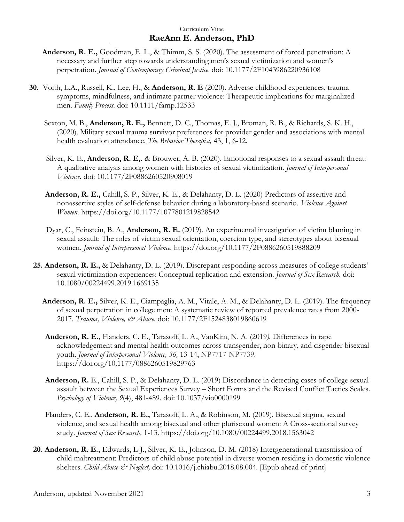- **Anderson, R. E.,** Goodman, E. L., & Thimm, S. S. (2020). The assessment of forced penetration: A necessary and further step towards understanding men's sexual victimization and women's perpetration. *Journal of Contemporary Criminal Justice*. doi: 10.1177/2F1043986220936108
- **30.** Voith, L.A., Russell, K., Lee, H., & **Anderson, R. E** (2020). Adverse childhood experiences, trauma symptoms, mindfulness, and intimate partner violence: Therapeutic implications for marginalized men. *Family Process.* doi: 10.1111/famp.12533
	- Sexton, M. B., **Anderson, R. E.,** Bennett, D. C., Thomas, E. J., Broman, R. B., & Richards, S. K. H., (2020). Military sexual trauma survivor preferences for provider gender and associations with mental health evaluation attendance. *The Behavior Therapist,* 43, 1, 6-12.
	- Silver, K. E., **Anderson, R. E,.** & Brouwer, A. B. (2020). Emotional responses to a sexual assault threat: A qualitative analysis among women with histories of sexual victimization. *Journal of Interpersonal Violence.* doi: 10.1177/2F0886260520908019
	- **Anderson, R. E.,** Cahill, S. P., Silver, K. E., & Delahanty, D. L. (2020) Predictors of assertive and nonassertive styles of self-defense behavior during a laboratory-based scenario. *Violence Against Women.* https://doi.org/10.1177/1077801219828542
	- Dyar, C., Feinstein, B. A., **Anderson, R. E.** (2019). An experimental investigation of victim blaming in sexual assault: The roles of victim sexual orientation, coercion type, and stereotypes about bisexual women. *Journal of Interpersonal Violence.* https://doi.org/10.1177/2F0886260519888209
- **25. Anderson, R. E.,** & Delahanty, D. L. (2019). Discrepant responding across measures of college students' sexual victimization experiences: Conceptual replication and extension. *Journal of Sex Research.* doi: 10.1080/00224499.2019.1669135
	- **Anderson, R. E.,** Silver, K. E., Ciampaglia, A. M., Vitale, A. M., & Delahanty, D. L. (2019). The frequency of sexual perpetration in college men: A systematic review of reported prevalence rates from 2000- 2017. *Trauma, Violence, & Abuse.* doi: 10.1177/2F1524838019860619
	- **Anderson, R. E.,** Flanders, C. E., Tarasoff, L. A., VanKim, N. A. (2019*).* Differences in rape acknowledgement and mental health outcomes across transgender, non-binary, and cisgender bisexual youth. *Journal of Interpersonal Violence, 36,* 13-14, NP7717-NP7739*.*  https://doi.org/10.1177/0886260519829763
	- **Anderson, R.** E., Cahill, S. P., & Delahanty, D. L. (2019) Discordance in detecting cases of college sexual assault between the Sexual Experiences Survey – Short Forms and the Revised Conflict Tactics Scales. *Psychology of Violence, 9*(4), 481-489. doi: 10.1037/vio0000199
	- Flanders, C. E., **Anderson, R. E.,** Tarasoff, L. A., & Robinson, M. (2019). Bisexual stigma, sexual violence, and sexual health among bisexual and other plurisexual women: A Cross-sectional survey study. *Journal of Sex Research,* 1-13. https://doi.org/10.1080/00224499.2018.1563042
- **20. Anderson, R. E.,** Edwards, L-J., Silver, K. E., Johnson, D. M. (2018) Intergenerational transmission of child maltreatment: Predictors of child abuse potential in diverse women residing in domestic violence shelters. *Child Abuse & Neglect*, doi: 10.1016/j.chiabu.2018.08.004. [Epub ahead of print]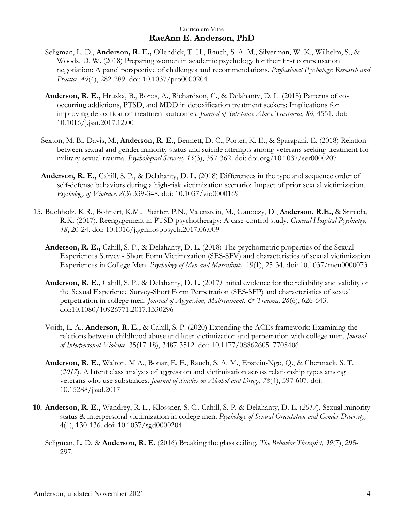- Seligman, L. D., **Anderson, R. E.,** Ollendick, T. H., Rauch, S. A. M., Silverman, W. K., Wilhelm, S., & Woods, D. W. (2018) Preparing women in academic psychology for their first compensation negotiation: A panel perspective of challenges and recommendations. *Professional Psychology: Research and Practice, 49*(4), 282-289. doi: 10.1037/pro0000204
- **Anderson, R. E.,** Hruska, B., Boros, A., Richardson, C., & Delahanty, D. L. (2018) Patterns of cooccurring addictions, PTSD, and MDD in detoxification treatment seekers: Implications for improving detoxification treatment outcomes. *Journal of Substance Abuse Treatment, 86,* 4551. doi: 10.1016/j.jsat.2017.12.00
- Sexton, M. B., Davis, M., **Anderson, R. E.,** Bennett, D. C., Porter, K. E., & Sparapani, E. (2018) Relation between sexual and gender minority status and suicide attempts among veterans seeking treatment for military sexual trauma. *Psychological Services, 15*(3), 357-362. doi: doi.org/10.1037/ser0000207
- **Anderson, R. E.,** Cahill, S. P., & Delahanty, D. L. (2018) Differences in the type and sequence order of self-defense behaviors during a high-risk victimization scenario: Impact of prior sexual victimization. *Psychology of Violence, 8*(3) 339-348. doi: 10.1037/vio0000169
- 15. Buchholz, K.R., Bohnert, K.M., Pfeiffer, P.N., Valenstein, M., Ganoczy, D., **Anderson, R.E.,** & Sripada, R.K. (2017). Reengagement in PTSD psychotherapy: A case-control study. *General Hospital Psychiatry, 48*, 20-24. doi: 10.1016/j.genhosppsych.2017.06.009
	- **Anderson, R. E.,** Cahill, S. P., & Delahanty, D. L. (2018) The psychometric properties of the Sexual Experiences Survey - Short Form Victimization (SES-SFV) and characteristics of sexual victimization Experiences in College Men. *Psychology of Men and Masculinity,* 19(1), 25-34. doi: 10.1037/men0000073
	- **Anderson, R. E.,** Cahill, S. P., & Delahanty, D. L. (2017*)* Initial evidence for the reliability and validity of the Sexual Experience Survey-Short Form Perpetration (SES-SFP) and characteristics of sexual perpetration in college men. *Journal of Aggression, Maltreatment, & Trauma, 26*(6), 626-643. doi:10.1080/10926771.2017.1330296
	- Voith, L. A., **Anderson, R. E.,** & Cahill, S. P. (2020) Extending the ACEs framework: Examining the relations between childhood abuse and later victimization and perpetration with college men. *Journal of Interpersonal Violence,* 35(17-18), 3487-3512. doi: 10.1177/0886260517708406
	- **Anderson, R. E.,** Walton, M A., Bonar, E. E., Rauch, S. A. M., Epstein-Ngo, Q., & Chermack, S. T. (*2017*). A latent class analysis of aggression and victimization across relationship types among veterans who use substances. *Journal of Studies on Alcohol and Drugs, 78*(4), 597-607. doi: 10.15288/jsad.2017
- **10. Anderson, R. E.,** Wandrey, R. L., Klossner, S. C., Cahill, S. P. & Delahanty, D. L. (*2017*). Sexual minority status & interpersonal victimization in college men. *Psychology of Sexual Orientation and Gender Diversity,*  4(1), 130-136. doi: 10.1037/sgd0000204
	- Seligman, L. D. & **Anderson, R. E.** (2016) Breaking the glass ceiling. *The Behavior Therapist, 39*(7), 295- 297.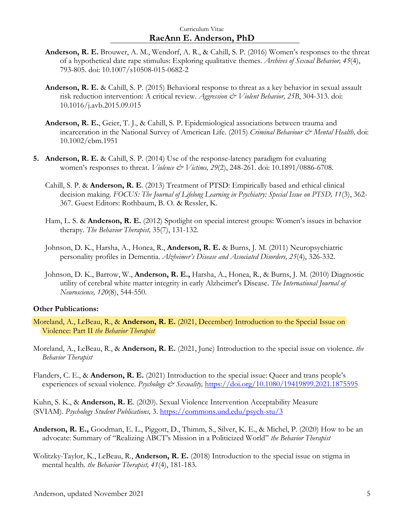- **Anderson, R. E.** Brouwer, A. M., Wendorf, A. R., & Cahill, S. P. (2016) Women's responses to the threat of a hypothetical date rape stimulus: Exploring qualitative themes. *Archives of Sexual Behavior, 45*(4), 793-805. doi: 10.1007/s10508-015-0682-2
- **Anderson, R. E.** & Cahill, S. P. (2015) Behavioral response to threat as a key behavior in sexual assault risk reduction intervention: A critical review. *Aggression & Violent Behavior, 25B*, 304-313. doi: 10.1016/j.avb.2015.09.015
- **Anderson, R. E.**, Geier, T. J., & Cahill, S. P. Epidemiological associations between trauma and incarceration in the National Survey of American Life. (2015) *Criminal Behaviour & Mental Health,* doi: 10.1002/cbm.1951
- **5. Anderson, R. E.** & Cahill, S. P. (2014) Use of the response-latency paradigm for evaluating women's responses to threat. *Violence & Victims, 29*(2), 248-261. doi: 10.1891/0886-6708.
	- Cahill, S. P. & **Anderson, R. E**. (2013) Treatment of PTSD: Empirically based and ethical clinical decision making*. FOCUS: The Journal of Lifelong Learning in Psychiatry: Special Issue on PTSD, 11*(3), 362- 367. Guest Editors: Rothbaum, B. O. & Ressler, K.
	- Ham, L. S. & **Anderson, R. E.** (2012) Spotlight on special interest groups: Women's issues in behavior therapy. *The Behavior Therapist,* 35(7), 131-132.
	- Johnson, D. K., Harsha, A., Honea, R., **Anderson, R. E.** & Burns, J. M. (2011) Neuropsychiatric personality profiles in Dementia. *Alzheimer's Disease and Associated Disorders, 25*(4), 326-332.
	- Johnson, D. K., Barrow, W., **Anderson, R. E.,** Harsha, A., Honea, R., & Burns, J. M. (2010) Diagnostic utility of cerebral white matter integrity in early Alzheimer's Disease. *The International Journal of Neuroscience, 120*(8), 544-550*.*

#### **Other Publications:**

- Moreland, A., LeBeau, R., & **Anderson, R. E.** (2021, December) Introduction to the Special Issue on Violence: Part II *the Behavior Therapist*
- Moreland, A., LeBeau, R., & **Anderson, R. E.** (2021, June) Introduction to the special issue on violence. *the Behavior Therapist*
- Flanders, C. E., & **Anderson, R. E.** (2021) Introduction to the special issue: Queer and trans people's experiences of sexual violence. *Psychology & Sexuality*, <https://doi.org/10.1080/19419899.2021.1875595>

Kuhn, S. K., & **Anderson, R. E**. (2020). Sexual Violence Intervention Acceptability Measure (SVIAM). *Psychology Student Publications,* 3. <https://commons.und.edu/psych-stu/3>

- **Anderson, R. E.,** Goodman, E. L., Piggott, D., Thimm, S., Silver, K. E., & Michel, P. (2020) How to be an advocate: Summary of "Realizing ABCT's Mission in a Politicized World" *the Behavior Therapist*
- Wolitzky-Taylor, K., LeBeau, R., **Anderson, R. E.** (2018) Introduction to the special issue on stigma in mental health. *the Behavior Therapist, 41*(4), 181-183.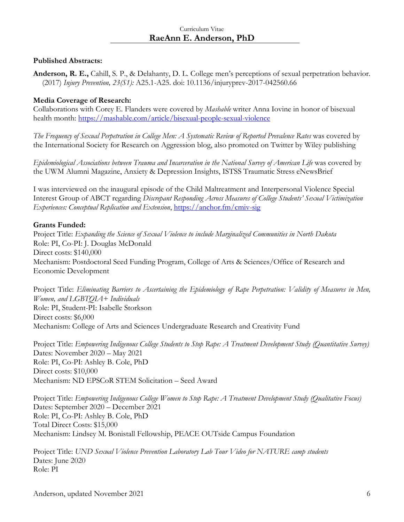### **Published Abstracts:**

**Anderson, R. E.,** Cahill, S. P., & Delahanty, D. L. College men's perceptions of sexual perpetration behavior. (2017) *Injury Prevention, 23(S1):* A25.1-A25. doi: 10.1136/injuryprev-2017-042560.66

### **Media Coverage of Research:**

Collaborations with Corey E. Flanders were covered by *Mashable* writer Anna Iovine in honor of bisexual health month: <https://mashable.com/article/bisexual-people-sexual-violence>

*The Frequency of Sexual Perpetration in College Men: A Systematic Review of Reported Prevalence Rates* was covered by the International Society for Research on Aggression blog, also promoted on Twitter by Wiley publishing

*Epidemiological Associations between Trauma and Incarceration in the National Survey of American Life* was covered by the UWM Alumni Magazine, Anxiety & Depression Insights, ISTSS Traumatic Stress eNewsBrief

I was interviewed on the inaugural episode of the Child Maltreatment and Interpersonal Violence Special Interest Group of ABCT regarding *Discrepant Responding Across Measures of College Students' Sexual Victimization Experiences: Conceptual Replication and Extension*,<https://anchor.fm/cmiv-sig>

### **Grants Funded:**

Project Title: *Expanding the Science of Sexual Violence to include Marginalized Communities in North Dakota* Role: PI, Co-PI: J. Douglas McDonald Direct costs: \$140,000 Mechanism: Postdoctoral Seed Funding Program, College of Arts & Sciences/Office of Research and Economic Development

Project Title: *Eliminating Barriers to Ascertaining the Epidemiology of Rape Perpetration: Validity of Measures in Men, Women, and LGBTQIA+ Individuals* Role: PI, Student-PI: Isabelle Storkson Direct costs: \$6,000 Mechanism: College of Arts and Sciences Undergraduate Research and Creativity Fund

Project Title: *Empowering Indigenous College Students to Stop Rape: A Treatment Development Study (Quantitative Survey)* Dates: November 2020 – May 2021 Role: PI, Co-PI: Ashley B. Cole, PhD Direct costs: \$10,000 Mechanism: ND EPSCoR STEM Solicitation – Seed Award

Project Title: *Empowering Indigenous College Women to Stop Rape: A Treatment Development Study (Qualitative Focus)* Dates: September 2020 – December 2021 Role: PI, Co-PI: Ashley B. Cole, PhD Total Direct Costs: \$15,000 Mechanism: Lindsey M. Bonistall Fellowship, PEACE OUTside Campus Foundation

Project Title: *UND Sexual Violence Prevention Laboratory Lab Tour Video for NATURE camp students* Dates: June 2020 Role: PI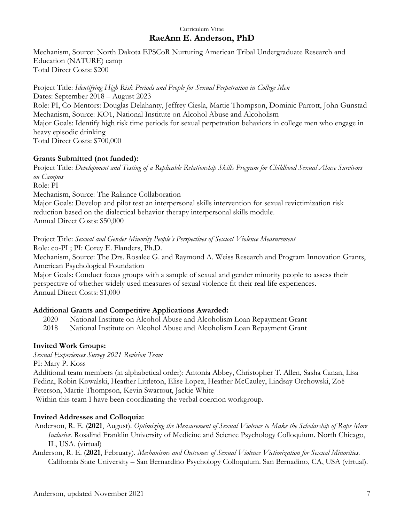Mechanism, Source: North Dakota EPSCoR Nurturing American Tribal Undergraduate Research and Education (NATURE) camp Total Direct Costs: \$200

Project Title: *Identifying High Risk Periods and People for Sexual Perpetration in College Men*  Dates: September 2018 – August 2023 Role: PI, Co-Mentors: Douglas Delahanty, Jeffrey Ciesla, Martie Thompson, Dominic Parrott, John Gunstad Mechanism, Source: KO1, National Institute on Alcohol Abuse and Alcoholism Major Goals: Identify high risk time periods for sexual perpetration behaviors in college men who engage in heavy episodic drinking Total Direct Costs: \$700,000

# **Grants Submitted (not funded):**

Project Title: *Development and Testing of a Replicable Relationship Skills Program for Childhood Sexual Abuse Survivors on Campus* Role: PI Mechanism, Source: The Raliance Collaboration Major Goals: Develop and pilot test an interpersonal skills intervention for sexual revictimization risk reduction based on the dialectical behavior therapy interpersonal skills module. Annual Direct Costs: \$50,000

Project Title: *Sexual and Gender Minority People's Perspectives of Sexual Violence Measurement*

Role: co-PI ; PI: Corey E. Flanders, Ph.D. Mechanism, Source: The Drs. Rosalee G. and Raymond A. Weiss Research and Program Innovation Grants, American Psychological Foundation

Major Goals: Conduct focus groups with a sample of sexual and gender minority people to assess their perspective of whether widely used measures of sexual violence fit their real-life experiences. Annual Direct Costs: \$1,000

# **Additional Grants and Competitive Applications Awarded:**

- 2020 National Institute on Alcohol Abuse and Alcoholism Loan Repayment Grant
- 2018 National Institute on Alcohol Abuse and Alcoholism Loan Repayment Grant

# **Invited Work Groups:**

*Sexual Experiences Survey 2021 Revision Team* PI: Mary P. Koss

Additional team members (in alphabetical order): Antonia Abbey, Christopher T. Allen, Sasha Canan, Lisa Fedina, Robin Kowalski, Heather Littleton, Elise Lopez, Heather McCauley, Lindsay Orchowski, Zoë Peterson, Martie Thompson, Kevin Swartout, Jackie White

-Within this team I have been coordinating the verbal coercion workgroup.

# **Invited Addresses and Colloquia:**

Anderson, R. E. (**2021**, August). *Optimizing the Measurement of Sexual Violence to Make the Scholarship of Rape More Inclusive.* Rosalind Franklin University of Medicine and Science Psychology Colloquium. North Chicago, IL, USA. (virtual)

 Anderson, R. E. (**2021**, February). *Mechanisms and Outcomes of Sexual Violence Victimization for Sexual Minorities.*  California State University – San Bernardino Psychology Colloquium. San Bernadino, CA, USA (virtual).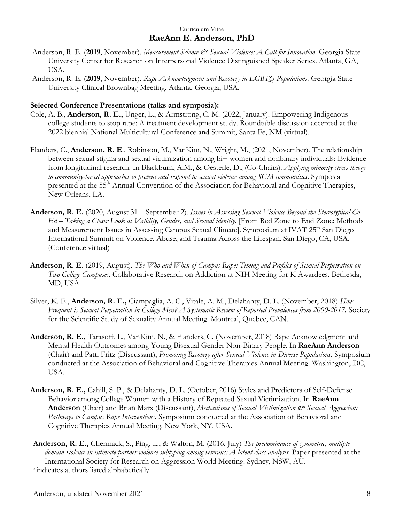- Anderson, R. E. (2019, November). *Measurement Science & Sexual Violence: A Call for Innovation*. Georgia State University Center for Research on Interpersonal Violence Distinguished Speaker Series. Atlanta, GA, USA.
- Anderson, R. E. (**2019**, November). *Rape Acknowledgment and Recovery in LGBTQ Populations.* Georgia State University Clinical Brownbag Meeting. Atlanta, Georgia, USA.

#### **Selected Conference Presentations (talks and symposia):**

- Cole, A. B., **Anderson, R. E.,** Unger, L., & Armstrong, C. M. (2022, January). Empowering Indigenous college students to stop rape: A treatment development study. Roundtable discussion accepted at the 2022 biennial National Multicultural Conference and Summit, Santa Fe, NM (virtual).
- Flanders, C., **Anderson, R. E**., Robinson, M., VanKim, N., Wright, M., (2021, November). The relationship between sexual stigma and sexual victimization among bi+ women and nonbinary individuals: Evidence from longitudinal research. In Blackburn, A.M., & Oesterle, D., (Co-Chairs). *Applying minority stress theory to community-based approaches to prevent and respond to sexual violence among SGM communities*. Symposia presented at the 55<sup>th</sup> Annual Convention of the Association for Behavioral and Cognitive Therapies, New Orleans, LA.
- **Anderson, R. E.** (2020, August 31 September 2). *Issues in Assessing Sexual Violence Beyond the Stereotypical Co-Ed – Taking a Closer Look at Validity, Gender, and Sexual identity.* [From Red Zone to End Zone: Methods and Measurement Issues in Assessing Campus Sexual Climate]. Symposium at IVAT 25<sup>th</sup> San Diego International Summit on Violence, Abuse, and Trauma Across the Lifespan. San Diego, CA, USA. (Conference virtual)
- **Anderson, R. E.** (2019, August). *The Who and When of Campus Rape: Timing and Profiles of Sexual Perpetration on Two College Campuses.* Collaborative Research on Addiction at NIH Meeting for K Awardees. Bethesda, MD, USA.
- Silver, K. E., **Anderson, R. E.,** Ciampaglia, A. C., Vitale, A. M., Delahanty, D. L. (November, 2018) *How Frequent is Sexual Perpetration in College Men? A Systematic Review of Reported Prevalences from 2000-2017.* Society for the Scientific Study of Sexuality Annual Meeting. Montreal, Quebec, CAN.
- **Anderson, R. E.,** Tarasoff, L., VanKim, N., & Flanders, C. (November, 2018) Rape Acknowledgment and Mental Health Outcomes among Young Bisexual Gender Non-Binary People. In **RaeAnn Anderson** (Chair) and Patti Fritz (Discussant), *Promoting Recovery after Sexual Violence in Diverse Populations.* Symposium conducted at the Association of Behavioral and Cognitive Therapies Annual Meeting. Washington, DC, USA.
- **Anderson, R. E.,** Cahill, S. P., & Delahanty, D. L. (October, 2016) Styles and Predictors of Self-Defense Behavior among College Women with a History of Repeated Sexual Victimization. In **RaeAnn Anderson** (Chair) and Brian Marx (Discussant), *Mechanisms of Sexual Victimization & Sexual Aggression: Pathways to Campus Rape Interventions.* Symposium conducted at the Association of Behavioral and Cognitive Therapies Annual Meeting. New York, NY, USA.
- **Anderson, R. E.,** Chermack, S., Ping, L., & Walton, M. (2016, July) *The predominance of symmetric, multiple*  domain violence in intimate partner violence subtyping among veterans: A latent class analysis. Paper presented at the International Society for Research on Aggression World Meeting. Sydney, NSW, AU.

<sup>a</sup> indicates authors listed alphabetically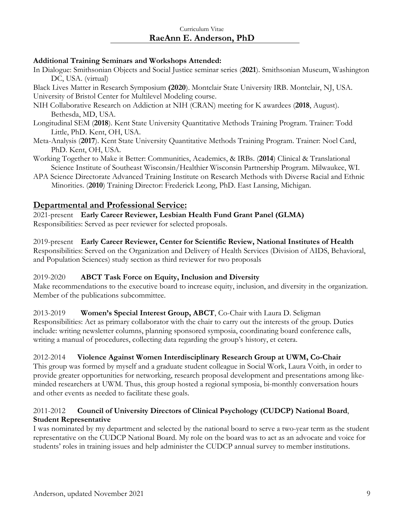### **Additional Training Seminars and Workshops Attended:**

In Dialogue: Smithsonian Objects and Social Justice seminar series (**2021**). Smithsonian Museum, Washington DC, USA. (virtual)

Black Lives Matter in Research Symposium **(2020**). Montclair State University IRB. Montclair, NJ, USA. University of Bristol Center for Multilevel Modeling course.

- NIH Collaborative Research on Addiction at NIH (CRAN) meeting for K awardees (**2018**, August). Bethesda, MD, USA.
- Longitudinal SEM (**2018**). Kent State University Quantitative Methods Training Program. Trainer: Todd Little, PhD. Kent, OH, USA.
- Meta-Analysis (**2017**). Kent State University Quantitative Methods Training Program. Trainer: Noel Card, PhD. Kent, OH, USA.
- Working Together to Make it Better: Communities, Academics, & IRBs. (**2014**) Clinical & Translational Science Institute of Southeast Wisconsin/Healthier Wisconsin Partnership Program. Milwaukee, WI.
- APA Science Directorate Advanced Training Institute on Research Methods with Diverse Racial and Ethnic Minorities. (**2010**) Training Director: Frederick Leong, PhD. East Lansing, Michigan.

# **Departmental and Professional Service:**

2021-present **Early Career Reviewer, Lesbian Health Fund Grant Panel (GLMA)** Responsibilities: Served as peer reviewer for selected proposals.

#### 2019-present **Early Career Reviewer, Center for Scientific Review, National Institutes of Health** Responsibilities: Served on the Organization and Delivery of Health Services (Division of AIDS, Behavioral, and Population Sciences) study section as third reviewer for two proposals

# 2019-2020 **ABCT Task Force on Equity, Inclusion and Diversity**

Make recommendations to the executive board to increase equity, inclusion, and diversity in the organization. Member of the publications subcommittee.

# 2013-2019 **Women's Special Interest Group, ABCT**, Co-Chair with Laura D. Seligman

Responsibilities: Act as primary collaborator with the chair to carry out the interests of the group. Duties include: writing newsletter columns, planning sponsored symposia, coordinating board conference calls, writing a manual of procedures, collecting data regarding the group's history, et cetera.

# 2012-2014 **Violence Against Women Interdisciplinary Research Group at UWM, Co-Chair**

This group was formed by myself and a graduate student colleague in Social Work, Laura Voith, in order to provide greater opportunities for networking, research proposal development and presentations among likeminded researchers at UWM. Thus, this group hosted a regional symposia, bi-monthly conversation hours and other events as needed to facilitate these goals.

# 2011-2012 **Council of University Directors of Clinical Psychology (CUDCP) National Board**, **Student Representative**

I was nominated by my department and selected by the national board to serve a two-year term as the student representative on the CUDCP National Board. My role on the board was to act as an advocate and voice for students' roles in training issues and help administer the CUDCP annual survey to member institutions.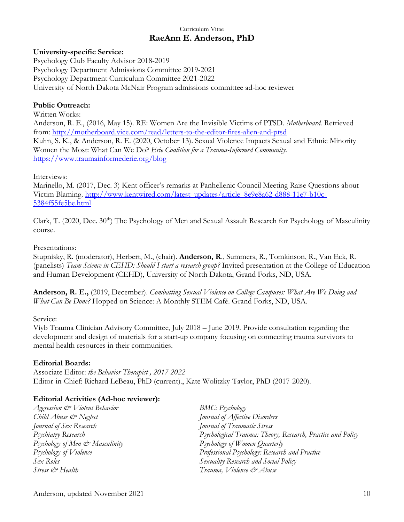### **University-specific Service:**

Psychology Club Faculty Advisor 2018-2019 Psychology Department Admissions Committee 2019-2021 Psychology Department Curriculum Committee 2021-2022 University of North Dakota McNair Program admissions committee ad-hoc reviewer

### **Public Outreach:**

Written Works: Anderson, R. E., (2016, May 15). RE: Women Are the Invisible Victims of PTSD. *Motherboard.* Retrieved from:<http://motherboard.vice.com/read/letters-to-the-editor-fires-alien-and-ptsd> Kuhn, S. K., & Anderson, R. E. (2020, October 13). Sexual Violence Impacts Sexual and Ethnic Minority Women the Most: What Can We Do? *Erie Coalition for a Trauma-Informed Community.* <https://www.traumainformederie.org/blog>

Interviews:

Marinello, M. (2017, Dec. 3) Kent officer's remarks at Panhellenic Council Meeting Raise Questions about Victim Blaming. [http://www.kentwired.com/latest\\_updates/article\\_8e9e8a62-d888-11e7-b10c-](http://www.kentwired.com/latest_updates/article_8e9e8a62-d888-11e7-b10c-5384f55fe5be.html)[5384f55fe5be.html](http://www.kentwired.com/latest_updates/article_8e9e8a62-d888-11e7-b10c-5384f55fe5be.html)

Clark, T. (2020, Dec. 30<sup>th</sup>) The Psychology of Men and Sexual Assault Research for Psychology of Masculinity course.

#### Presentations:

Stupnisky, R. (moderator), Herbert, M., (chair). **Anderson, R**., Summers, R., Tomkinson, R., Van Eck, R. (panelists) *Team Science in CEHD: Should I start a research group?* Invited presentation at the College of Education and Human Development (CEHD), University of North Dakota, Grand Forks, ND, USA.

**Anderson, R. E.,** (2019, December). *Combatting Sexual Violence on College Campuses: What Are We Doing and What Can Be Done?* Hopped on Science: A Monthly STEM Café. Grand Forks, ND, USA.

### Service:

Viyb Trauma Clinician Advisory Committee, July 2018 – June 2019. Provide consultation regarding the development and design of materials for a start-up company focusing on connecting trauma survivors to mental health resources in their communities.

### **Editorial Boards:**

Associate Editor: *the Behavior Therapist , 2017-2022* Editor-in-Chief: Richard LeBeau, PhD (current)., Kate Wolitzky-Taylor, PhD (2017-2020).

### **Editorial Activities (Ad-hoc reviewer):**

*Aggression & Violent Behavior BMC: Psychology Child Abuse & Neglect Journal of Affective Disorders Journal of Sex Research Journal of Traumatic Stress Psychology of Men & Masculinity Psychology of Women Quarterly Sex Roles Sexuality Research and Social Policy Stress & Health Trauma, Violence & Abuse*

*Psychiatry Research Psychological Trauma: Theory, Research, Practice and Policy Psychology of Violence Professional Psychology: Research and Practice*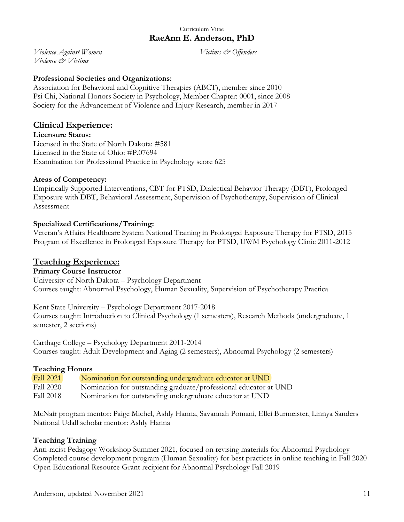*Violence Against Women Victims & Offenders Violence & Victims*

### **Professional Societies and Organizations:**

Association for Behavioral and Cognitive Therapies (ABCT), member since 2010 Psi Chi, National Honors Society in Psychology, Member Chapter: 0001, since 2008 Society for the Advancement of Violence and Injury Research, member in 2017

# **Clinical Experience:**

### **Licensure Status:**

Licensed in the State of North Dakota: #581 Licensed in the State of Ohio: #P.07694 Examination for Professional Practice in Psychology score 625

### **Areas of Competency:**

Empirically Supported Interventions, CBT for PTSD, Dialectical Behavior Therapy (DBT), Prolonged Exposure with DBT, Behavioral Assessment, Supervision of Psychotherapy, Supervision of Clinical Assessment

### **Specialized Certifications/Training:**

Veteran's Affairs Healthcare System National Training in Prolonged Exposure Therapy for PTSD, 2015 Program of Excellence in Prolonged Exposure Therapy for PTSD, UWM Psychology Clinic 2011-2012

# **Teaching Experience:**

### **Primary Course Instructor**

University of North Dakota – Psychology Department Courses taught: Abnormal Psychology, Human Sexuality, Supervision of Psychotherapy Practica

Kent State University – Psychology Department 2017-2018 Courses taught: Introduction to Clinical Psychology (1 semesters), Research Methods (undergraduate, 1 semester, 2 sections)

Carthage College – Psychology Department 2011-2014 Courses taught: Adult Development and Aging (2 semesters), Abnormal Psychology (2 semesters)

### **Teaching Honors**

| Fall 2021        | Nomination for outstanding undergraduate educator at UND         |
|------------------|------------------------------------------------------------------|
| <b>Fall 2020</b> | Nomination for outstanding graduate/professional educator at UND |
| Fall 2018        | Nomination for outstanding undergraduate educator at UND         |

McNair program mentor: Paige Michel, Ashly Hanna, Savannah Pomani, Ellei Burmeister, Linnya Sanders National Udall scholar mentor: Ashly Hanna

### **Teaching Training**

Anti-racist Pedagogy Workshop Summer 2021, focused on revising materials for Abnormal Psychology Completed course development program (Human Sexuality) for best practices in online teaching in Fall 2020 Open Educational Resource Grant recipient for Abnormal Psychology Fall 2019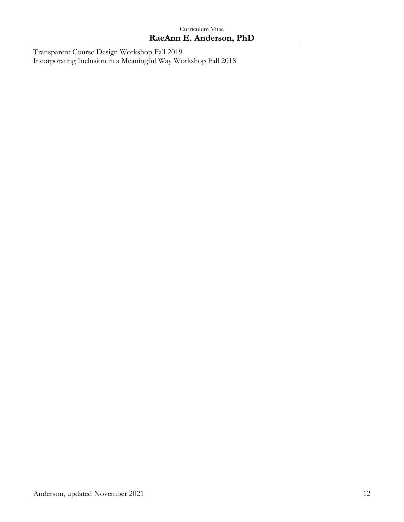Transparent Course Design Workshop Fall 2019 Incorporating Inclusion in a Meaningful Way Workshop Fall 2018